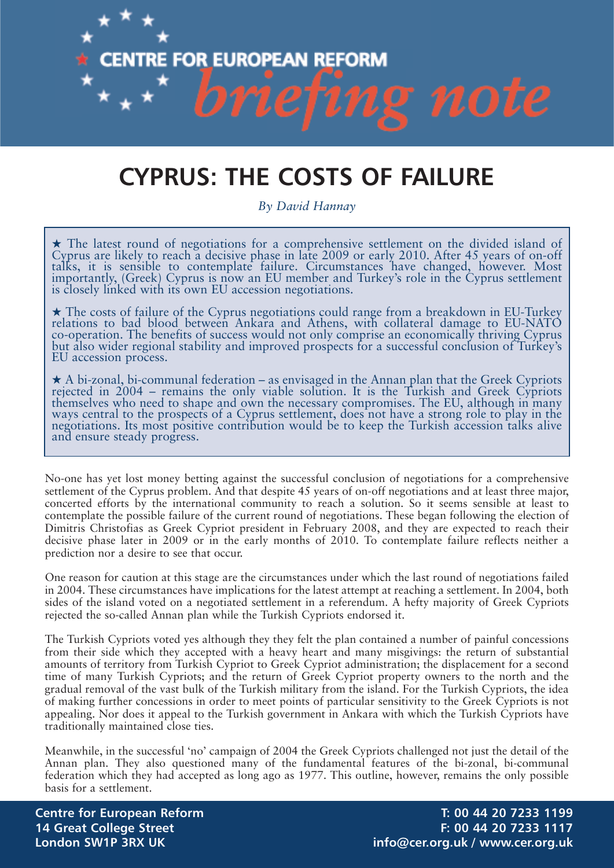

# **CYPRUS: THE COSTS OF FAILURE**

*By David Hannay*

**★** The latest round of negotiations for a comprehensive settlement on the divided island of Cyprus are likely to reach a decisive phase in late 2009 or early 2010. After 45 years of on-off talks, it is sensible to contemplate failure. Circumstances have changed, however. Most importantly, (Greek) Cyprus is now an EU member and Turkey's role in the Cyprus settlement is closely linked with its own EU accession negotiations.

**★** The costs of failure of the Cyprus negotiations could range from a breakdown in EU-Turkey relations to bad blood between Ankara and Athens, with collateral damage to EU-NATO co-operation. The benefits of success would not only comprise an economically thriving Cyprus but also wider regional stability and improved prospects for a successful conclusion of Turkey's EU accession process.

★ A bi-zonal, bi-communal federation – as envisaged in the Annan plan that the Greek Cypriots rejected in 2004 – remains the only viable solution. It is the Turkish and Greek Cypriots themselves who need to shape and own the necessary compromises. The EU, although in many ways central to the prospects of a Cyprus settlement, does not have a strong role to play in the negotiations. Its most positive contribution would be to keep the Turkish accession talks alive and ensure steady progress.

No-one has yet lost money betting against the successful conclusion of negotiations for a comprehensive settlement of the Cyprus problem. And that despite 45 years of on-off negotiations and at least three major, concerted efforts by the international community to reach a solution. So it seems sensible at least to contemplate the possible failure of the current round of negotiations. These began following the election of Dimitris Christofias as Greek Cypriot president in February 2008, and they are expected to reach their decisive phase later in 2009 or in the early months of 2010. To contemplate failure reflects neither a prediction nor a desire to see that occur.

One reason for caution at this stage are the circumstances under which the last round of negotiations failed in 2004. These circumstances have implications for the latest attempt at reaching a settlement. In 2004, both sides of the island voted on a negotiated settlement in a referendum. A hefty majority of Greek Cypriots rejected the so-called Annan plan while the Turkish Cypriots endorsed it.

The Turkish Cypriots voted yes although they they felt the plan contained a number of painful concessions from their side which they accepted with a heavy heart and many misgivings: the return of substantial amounts of territory from Turkish Cypriot to Greek Cypriot administration; the displacement for a second time of many Turkish Cypriots; and the return of Greek Cypriot property owners to the north and the gradual removal of the vast bulk of the Turkish military from the island. For the Turkish Cypriots, the idea of making further concessions in order to meet points of particular sensitivity to the Greek Cypriots is not appealing. Nor does it appeal to the Turkish government in Ankara with which the Turkish Cypriots have traditionally maintained close ties.

Meanwhile, in the successful 'no' campaign of 2004 the Greek Cypriots challenged not just the detail of the Annan plan. They also questioned many of the fundamental features of the bi-zonal, bi-communal federation which they had accepted as long ago as 1977. This outline, however, remains the only possible basis for a settlement.

**Centre for European Reform T: 00 44 20 7233 1199 14 Great College Street F: 00 44 20 7233 1117 London SW1P 3RX UK info@cer.org.uk / www.cer.org.uk**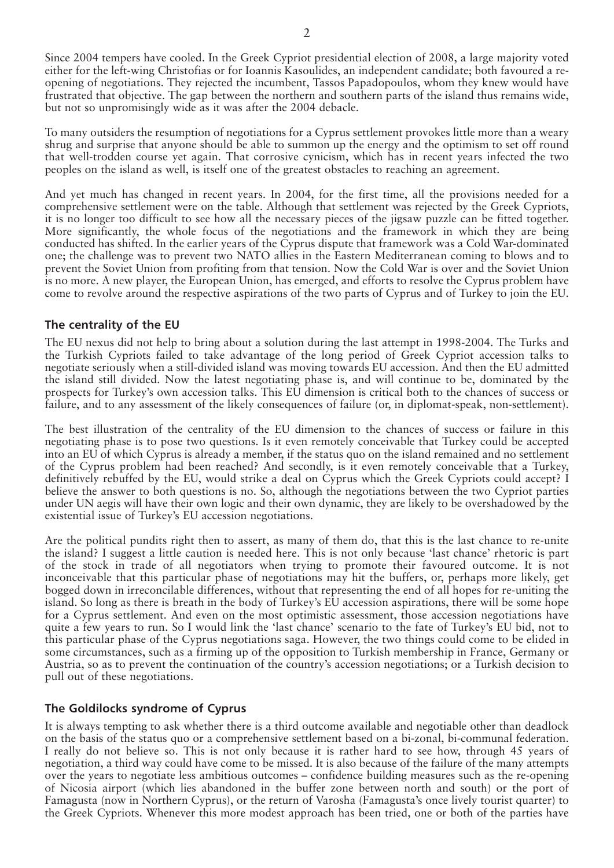Since 2004 tempers have cooled. In the Greek Cypriot presidential election of 2008, a large majority voted either for the left-wing Christofias or for Ioannis Kasoulides, an independent candidate; both favoured a reopening of negotiations. They rejected the incumbent, Tassos Papadopoulos, whom they knew would have frustrated that objective. The gap between the northern and southern parts of the island thus remains wide, but not so unpromisingly wide as it was after the 2004 debacle.

To many outsiders the resumption of negotiations for a Cyprus settlement provokes little more than a weary shrug and surprise that anyone should be able to summon up the energy and the optimism to set off round that well-trodden course yet again. That corrosive cynicism, which has in recent years infected the two peoples on the island as well, is itself one of the greatest obstacles to reaching an agreement.

And yet much has changed in recent years. In 2004, for the first time, all the provisions needed for a comprehensive settlement were on the table. Although that settlement was rejected by the Greek Cypriots, it is no longer too difficult to see how all the necessary pieces of the jigsaw puzzle can be fitted together. More significantly, the whole focus of the negotiations and the framework in which they are being conducted has shifted. In the earlier years of the Cyprus dispute that framework was a Cold War-dominated one; the challenge was to prevent two NATO allies in the Eastern Mediterranean coming to blows and to prevent the Soviet Union from profiting from that tension. Now the Cold War is over and the Soviet Union is no more. A new player, the European Union, has emerged, and efforts to resolve the Cyprus problem have come to revolve around the respective aspirations of the two parts of Cyprus and of Turkey to join the EU.

## **The centrality of the EU**

The EU nexus did not help to bring about a solution during the last attempt in 1998-2004. The Turks and the Turkish Cypriots failed to take advantage of the long period of Greek Cypriot accession talks to negotiate seriously when a still-divided island was moving towards EU accession. And then the EU admitted the island still divided. Now the latest negotiating phase is, and will continue to be, dominated by the prospects for Turkey's own accession talks. This EU dimension is critical both to the chances of success or failure, and to any assessment of the likely consequences of failure (or, in diplomat-speak, non-settlement).

The best illustration of the centrality of the EU dimension to the chances of success or failure in this negotiating phase is to pose two questions. Is it even remotely conceivable that Turkey could be accepted into an EU of which Cyprus is already a member, if the status quo on the island remained and no settlement of the Cyprus problem had been reached? And secondly, is it even remotely conceivable that a Turkey, definitively rebuffed by the EU, would strike a deal on Cyprus which the Greek Cypriots could accept? I believe the answer to both questions is no. So, although the negotiations between the two Cypriot parties under UN aegis will have their own logic and their own dynamic, they are likely to be overshadowed by the existential issue of Turkey's EU accession negotiations.

Are the political pundits right then to assert, as many of them do, that this is the last chance to re-unite the island? I suggest a little caution is needed here. This is not only because 'last chance' rhetoric is part of the stock in trade of all negotiators when trying to promote their favoured outcome. It is not inconceivable that this particular phase of negotiations may hit the buffers, or, perhaps more likely, get bogged down in irreconcilable differences, without that representing the end of all hopes for re-uniting the island. So long as there is breath in the body of Turkey's EU accession aspirations, there will be some hope for a Cyprus settlement. And even on the most optimistic assessment, those accession negotiations have quite a few years to run. So I would link the 'last chance' scenario to the fate of Turkey's EU bid, not to this particular phase of the Cyprus negotiations saga. However, the two things could come to be elided in some circumstances, such as a firming up of the opposition to Turkish membership in France, Germany or Austria, so as to prevent the continuation of the country's accession negotiations; or a Turkish decision to pull out of these negotiations.

## **The Goldilocks syndrome of Cyprus**

It is always tempting to ask whether there is a third outcome available and negotiable other than deadlock on the basis of the status quo or a comprehensive settlement based on a bi-zonal, bi-communal federation. I really do not believe so. This is not only because it is rather hard to see how, through 45 years of negotiation, a third way could have come to be missed. It is also because of the failure of the many attempts over the years to negotiate less ambitious outcomes – confidence building measures such as the re-opening of Nicosia airport (which lies abandoned in the buffer zone between north and south) or the port of Famagusta (now in Northern Cyprus), or the return of Varosha (Famagusta's once lively tourist quarter) to the Greek Cypriots. Whenever this more modest approach has been tried, one or both of the parties have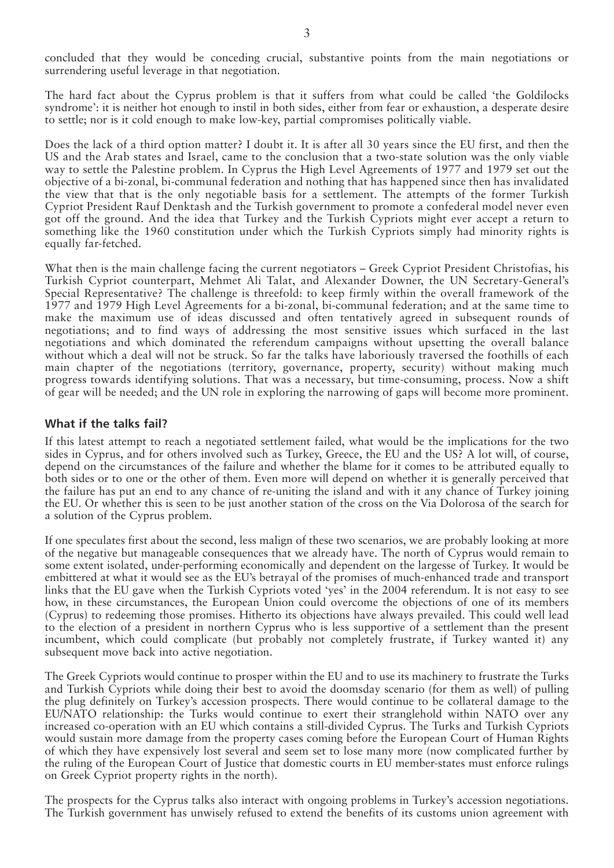concluded that they would be conceding crucial, substantive points from the main negotiations or surrendering useful leverage in that negotiation.

The hard fact about the Cyprus problem is that it suffers from what could be called 'the Goldilocks syndrome': it is neither hot enough to instil in both sides, either from fear or exhaustion, a desperate desire to settle; nor is it cold enough to make low-key, partial compromises politically viable.

Does the lack of a third option matter? I doubt it. It is after all 30 years since the EU first, and then the US and the Arab states and Israel, came to the conclusion that a two-state solution was the only viable way to settle the Palestine problem. In Cyprus the High Level Agreements of 1977 and 1979 set out the objective of a bi-zonal, bi-communal federation and nothing that has happened since then has invalidated the view that that is the only negotiable basis for a settlement. The attempts of the former Turkish Cypriot President Rauf Denktash and the Turkish government to promote a confederal model never even got off the ground. And the idea that Turkey and the Turkish Cypriots might ever accept a return to something like the 1960 constitution under which the Turkish Cypriots simply had minority rights is equally far-fetched.

What then is the main challenge facing the current negotiators – Greek Cypriot President Christofias, his Turkish Cypriot counterpart, Mehmet Ali Talat, and Alexander Downer, the UN Secretary-General's Special Representative? The challenge is threefold: to keep firmly within the overall framework of the 1977 and 1979 High Level Agreements for a bi-zonal, bi-communal federation; and at the same time to make the maximum use of ideas discussed and often tentatively agreed in subsequent rounds of negotiations; and to find ways of addressing the most sensitive issues which surfaced in the last negotiations and which dominated the referendum campaigns without upsetting the overall balance without which a deal will not be struck. So far the talks have laboriously traversed the foothills of each main chapter of the negotiations (territory, governance, property, security) without making much progress towards identifying solutions. That was a necessary, but time-consuming, process. Now a shift of gear will be needed; and the UN role in exploring the narrowing of gaps will become more prominent.

#### **What if the talks fail?**

If this latest attempt to reach a negotiated settlement failed, what would be the implications for the two sides in Cyprus, and for others involved such as Turkey, Greece, the EU and the US? A lot will, of course, depend on the circumstances of the failure and whether the blame for it comes to be attributed equally to both sides or to one or the other of them. Even more will depend on whether it is generally perceived that the failure has put an end to any chance of re-uniting the island and with it any chance of Turkey joining the EU. Or whether this is seen to be just another station of the cross on the Via Dolorosa of the search for a solution of the Cyprus problem.

If one speculates first about the second, less malign of these two scenarios, we are probably looking at more of the negative but manageable consequences that we already have. The north of Cyprus would remain to some extent isolated, under-performing economically and dependent on the largesse of Turkey. It would be embittered at what it would see as the EU's betrayal of the promises of much-enhanced trade and transport links that the EU gave when the Turkish Cypriots voted 'yes' in the 2004 referendum. It is not easy to see how, in these circumstances, the European Union could overcome the objections of one of its members (Cyprus) to redeeming those promises. Hitherto its objections have always prevailed. This could well lead to the election of a president in northern Cyprus who is less supportive of a settlement than the present incumbent, which could complicate (but probably not completely frustrate, if Turkey wanted it) any subsequent move back into active negotiation.

The Greek Cypriots would continue to prosper within the EU and to use its machinery to frustrate the Turks and Turkish Cypriots while doing their best to avoid the doomsday scenario (for them as well) of pulling the plug definitely on Turkey's accession prospects. There would continue to be collateral damage to the EU/NATO relationship: the Turks would continue to exert their stranglehold within NATO over any increased co-operation with an EU which contains a still-divided Cyprus. The Turks and Turkish Cypriots would sustain more damage from the property cases coming before the European Court of Human Rights of which they have expensively lost several and seem set to lose many more (now complicated further by the ruling of the European Court of Justice that domestic courts in EU member-states must enforce rulings on Greek Cypriot property rights in the north).

The prospects for the Cyprus talks also interact with ongoing problems in Turkey's accession negotiations. The Turkish government has unwisely refused to extend the benefits of its customs union agreement with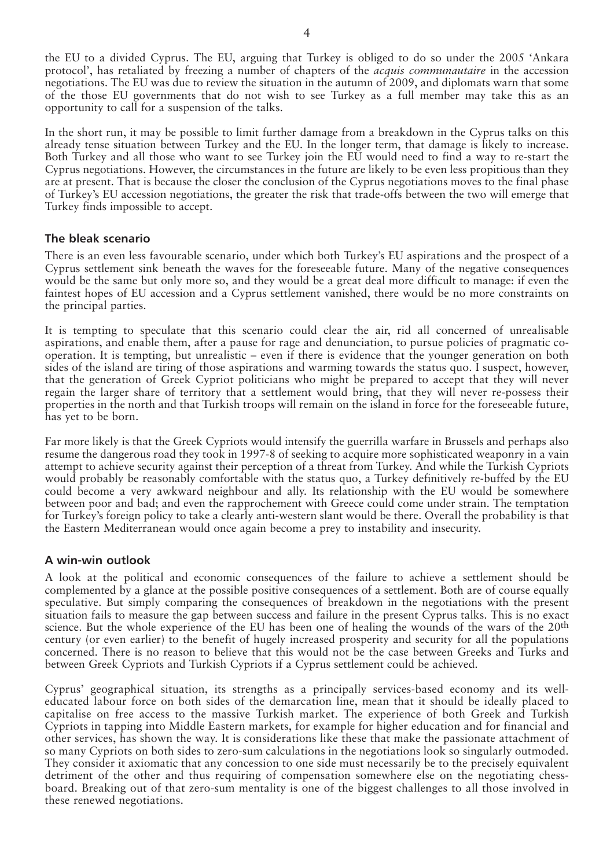the EU to a divided Cyprus. The EU, arguing that Turkey is obliged to do so under the 2005 'Ankara protocol', has retaliated by freezing a number of chapters of the *acquis communautaire* in the accession negotiations. The EU was due to review the situation in the autumn of 2009, and diplomats warn that some of the those EU governments that do not wish to see Turkey as a full member may take this as an opportunity to call for a suspension of the talks.

In the short run, it may be possible to limit further damage from a breakdown in the Cyprus talks on this already tense situation between Turkey and the EU. In the longer term, that damage is likely to increase. Both Turkey and all those who want to see Turkey join the EU would need to find a way to re-start the Cyprus negotiations. However, the circumstances in the future are likely to be even less propitious than they are at present. That is because the closer the conclusion of the Cyprus negotiations moves to the final phase of Turkey's EU accession negotiations, the greater the risk that trade-offs between the two will emerge that Turkey finds impossible to accept.

## **The bleak scenario**

There is an even less favourable scenario, under which both Turkey's EU aspirations and the prospect of a Cyprus settlement sink beneath the waves for the foreseeable future. Many of the negative consequences would be the same but only more so, and they would be a great deal more difficult to manage: if even the faintest hopes of EU accession and a Cyprus settlement vanished, there would be no more constraints on the principal parties.

It is tempting to speculate that this scenario could clear the air, rid all concerned of unrealisable aspirations, and enable them, after a pause for rage and denunciation, to pursue policies of pragmatic cooperation. It is tempting, but unrealistic – even if there is evidence that the younger generation on both sides of the island are tiring of those aspirations and warming towards the status quo. I suspect, however, that the generation of Greek Cypriot politicians who might be prepared to accept that they will never regain the larger share of territory that a settlement would bring, that they will never re-possess their properties in the north and that Turkish troops will remain on the island in force for the foreseeable future, has yet to be born.

Far more likely is that the Greek Cypriots would intensify the guerrilla warfare in Brussels and perhaps also resume the dangerous road they took in 1997-8 of seeking to acquire more sophisticated weaponry in a vain attempt to achieve security against their perception of a threat from Turkey. And while the Turkish Cypriots would probably be reasonably comfortable with the status quo, a Turkey definitively re-buffed by the EU could become a very awkward neighbour and ally. Its relationship with the EU would be somewhere between poor and bad; and even the rapprochement with Greece could come under strain. The temptation for Turkey's foreign policy to take a clearly anti-western slant would be there. Overall the probability is that the Eastern Mediterranean would once again become a prey to instability and insecurity.

## **A win-win outlook**

A look at the political and economic consequences of the failure to achieve a settlement should be complemented by a glance at the possible positive consequences of a settlement. Both are of course equally speculative. But simply comparing the consequences of breakdown in the negotiations with the present situation fails to measure the gap between success and failure in the present Cyprus talks. This is no exact science. But the whole experience of the EU has been one of healing the wounds of the wars of the 20<sup>th</sup> century (or even earlier) to the benefit of hugely increased prosperity and security for all the populations concerned. There is no reason to believe that this would not be the case between Greeks and Turks and between Greek Cypriots and Turkish Cypriots if a Cyprus settlement could be achieved.

Cyprus' geographical situation, its strengths as a principally services-based economy and its welleducated labour force on both sides of the demarcation line, mean that it should be ideally placed to capitalise on free access to the massive Turkish market. The experience of both Greek and Turkish Cypriots in tapping into Middle Eastern markets, for example for higher education and for financial and other services, has shown the way. It is considerations like these that make the passionate attachment of so many Cypriots on both sides to zero-sum calculations in the negotiations look so singularly outmoded. They consider it axiomatic that any concession to one side must necessarily be to the precisely equivalent detriment of the other and thus requiring of compensation somewhere else on the negotiating chessboard. Breaking out of that zero-sum mentality is one of the biggest challenges to all those involved in these renewed negotiations.